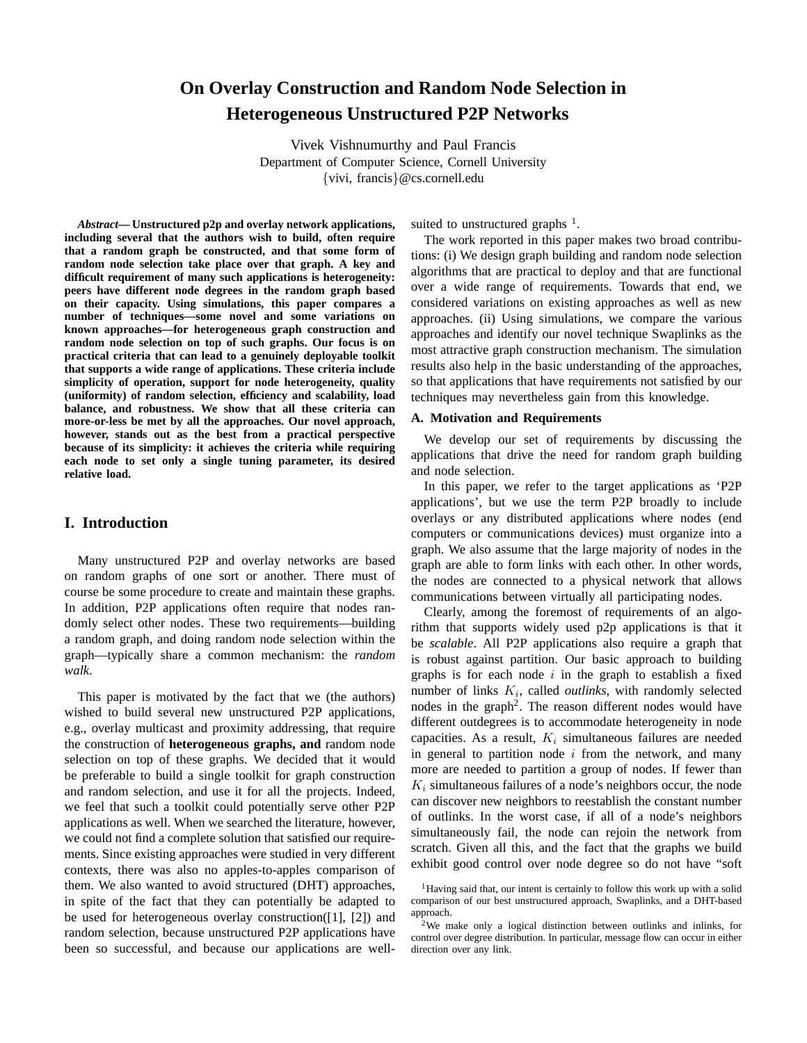# **On Overlay Construction and Random Node Selection in Heterogeneous Unstructured P2P Networks**

Vivek Vishnumurthy and Paul Francis Department of Computer Science, Cornell University {vivi, francis}@cs.cornell.edu

*Abstract***— Unstructured p2p and overlay network applications, including several that the authors wish to build, often require that a random graph be constructed, and that some form of random node selection take place over that graph. A key and difficult requirement of many such applications is heterogeneity: peers have different node degrees in the random graph based on their capacity. Using simulations, this paper compares a number of techniques—some novel and some variations on known approaches—for heterogeneous graph construction and random node selection on top of such graphs. Our focus is on practical criteria that can lead to a genuinely deployable toolkit that supports a wide range of applications. These criteria include simplicity of operation, support for node heterogeneity, quality (uniformity) of random selection, efficiency and scalability, load balance, and robustness. We show that all these criteria can more-or-less be met by all the approaches. Our novel approach, however, stands out as the best from a practical perspective because of its simplicity: it achieves the criteria while requiring each node to set only a single tuning parameter, its desired relative load.**

# **I. Introduction**

Many unstructured P2P and overlay networks are based on random graphs of one sort or another. There must of course be some procedure to create and maintain these graphs. In addition, P2P applications often require that nodes randomly select other nodes. These two requirements—building a random graph, and doing random node selection within the graph—typically share a common mechanism: the *random walk*.

This paper is motivated by the fact that we (the authors) wished to build several new unstructured P2P applications, e.g., overlay multicast and proximity addressing, that require the construction of **heterogeneous graphs, and** random node selection on top of these graphs. We decided that it would be preferable to build a single toolkit for graph construction and random selection, and use it for all the projects. Indeed, we feel that such a toolkit could potentially serve other P2P applications as well. When we searched the literature, however, we could not find a complete solution that satisfied our requirements. Since existing approaches were studied in very different contexts, there was also no apples-to-apples comparison of them. We also wanted to avoid structured (DHT) approaches, in spite of the fact that they can potentially be adapted to be used for heterogeneous overlay construction([1], [2]) and random selection, because unstructured P2P applications have been so successful, and because our applications are wellsuited to unstructured graphs  $<sup>1</sup>$ .</sup>

The work reported in this paper makes two broad contributions: (i) We design graph building and random node selection algorithms that are practical to deploy and that are functional over a wide range of requirements. Towards that end, we considered variations on existing approaches as well as new approaches. (ii) Using simulations, we compare the various approaches and identify our novel technique Swaplinks as the most attractive graph construction mechanism. The simulation results also help in the basic understanding of the approaches, so that applications that have requirements not satisfied by our techniques may nevertheless gain from this knowledge.

## **A. Motivation and Requirements**

We develop our set of requirements by discussing the applications that drive the need for random graph building and node selection.

In this paper, we refer to the target applications as 'P2P applications', but we use the term P2P broadly to include overlays or any distributed applications where nodes (end computers or communications devices) must organize into a graph. We also assume that the large majority of nodes in the graph are able to form links with each other. In other words, the nodes are connected to a physical network that allows communications between virtually all participating nodes.

Clearly, among the foremost of requirements of an algorithm that supports widely used p2p applications is that it be *scalable*. All P2P applications also require a graph that is robust against partition. Our basic approach to building graphs is for each node  $i$  in the graph to establish a fixed number of links  $K_i$ , called *outlinks*, with randomly selected nodes in the graph<sup>2</sup>. The reason different nodes would have different outdegrees is to accommodate heterogeneity in node capacities. As a result,  $K_i$  simultaneous failures are needed in general to partition node  $i$  from the network, and many more are needed to partition a group of nodes. If fewer than  $K_i$  simultaneous failures of a node's neighbors occur, the node can discover new neighbors to reestablish the constant number of outlinks. In the worst case, if all of a node's neighbors simultaneously fail, the node can rejoin the network from scratch. Given all this, and the fact that the graphs we build exhibit good control over node degree so do not have "soft

<sup>&</sup>lt;sup>1</sup>Having said that, our intent is certainly to follow this work up with a solid comparison of our best unstructured approach, Swaplinks, and a DHT-based approach.

<sup>2</sup>We make only a logical distinction between outlinks and inlinks, for control over degree distribution. In particular, message flow can occur in either direction over any link.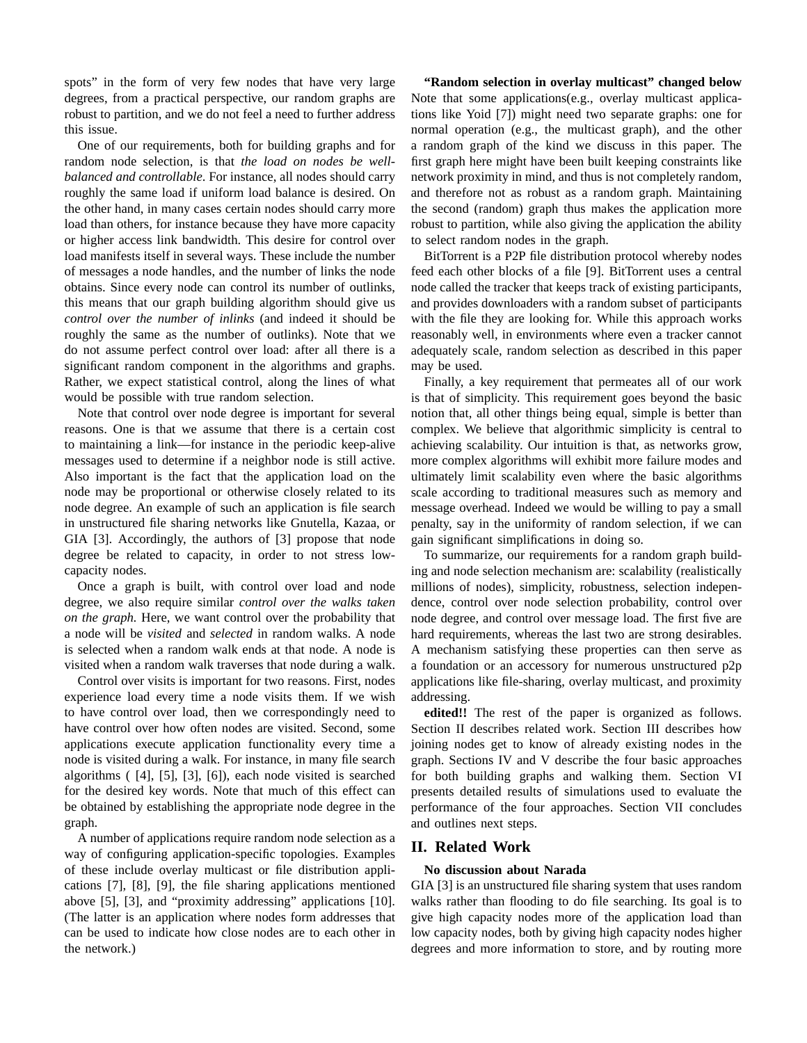spots" in the form of very few nodes that have very large degrees, from a practical perspective, our random graphs are robust to partition, and we do not feel a need to further address this issue.

One of our requirements, both for building graphs and for random node selection, is that *the load on nodes be wellbalanced and controllable*. For instance, all nodes should carry roughly the same load if uniform load balance is desired. On the other hand, in many cases certain nodes should carry more load than others, for instance because they have more capacity or higher access link bandwidth. This desire for control over load manifests itself in several ways. These include the number of messages a node handles, and the number of links the node obtains. Since every node can control its number of outlinks, this means that our graph building algorithm should give us *control over the number of inlinks* (and indeed it should be roughly the same as the number of outlinks). Note that we do not assume perfect control over load: after all there is a significant random component in the algorithms and graphs. Rather, we expect statistical control, along the lines of what would be possible with true random selection.

Note that control over node degree is important for several reasons. One is that we assume that there is a certain cost to maintaining a link—for instance in the periodic keep-alive messages used to determine if a neighbor node is still active. Also important is the fact that the application load on the node may be proportional or otherwise closely related to its node degree. An example of such an application is file search in unstructured file sharing networks like Gnutella, Kazaa, or GIA [3]. Accordingly, the authors of [3] propose that node degree be related to capacity, in order to not stress lowcapacity nodes.

Once a graph is built, with control over load and node degree, we also require similar *control over the walks taken on the graph.* Here, we want control over the probability that a node will be *visited* and *selected* in random walks. A node is selected when a random walk ends at that node. A node is visited when a random walk traverses that node during a walk.

Control over visits is important for two reasons. First, nodes experience load every time a node visits them. If we wish to have control over load, then we correspondingly need to have control over how often nodes are visited. Second, some applications execute application functionality every time a node is visited during a walk. For instance, in many file search algorithms ( [4], [5], [3], [6]), each node visited is searched for the desired key words. Note that much of this effect can be obtained by establishing the appropriate node degree in the graph.

A number of applications require random node selection as a way of configuring application-specific topologies. Examples of these include overlay multicast or file distribution applications [7], [8], [9], the file sharing applications mentioned above [5], [3], and "proximity addressing" applications [10]. (The latter is an application where nodes form addresses that can be used to indicate how close nodes are to each other in the network.)

**"Random selection in overlay multicast" changed below** Note that some applications(e.g., overlay multicast applications like Yoid [7]) might need two separate graphs: one for normal operation (e.g., the multicast graph), and the other a random graph of the kind we discuss in this paper. The first graph here might have been built keeping constraints like network proximity in mind, and thus is not completely random, and therefore not as robust as a random graph. Maintaining the second (random) graph thus makes the application more robust to partition, while also giving the application the ability to select random nodes in the graph.

BitTorrent is a P2P file distribution protocol whereby nodes feed each other blocks of a file [9]. BitTorrent uses a central node called the tracker that keeps track of existing participants, and provides downloaders with a random subset of participants with the file they are looking for. While this approach works reasonably well, in environments where even a tracker cannot adequately scale, random selection as described in this paper may be used.

Finally, a key requirement that permeates all of our work is that of simplicity. This requirement goes beyond the basic notion that, all other things being equal, simple is better than complex. We believe that algorithmic simplicity is central to achieving scalability. Our intuition is that, as networks grow, more complex algorithms will exhibit more failure modes and ultimately limit scalability even where the basic algorithms scale according to traditional measures such as memory and message overhead. Indeed we would be willing to pay a small penalty, say in the uniformity of random selection, if we can gain significant simplifications in doing so.

To summarize, our requirements for a random graph building and node selection mechanism are: scalability (realistically millions of nodes), simplicity, robustness, selection independence, control over node selection probability, control over node degree, and control over message load. The first five are hard requirements, whereas the last two are strong desirables. A mechanism satisfying these properties can then serve as a foundation or an accessory for numerous unstructured p2p applications like file-sharing, overlay multicast, and proximity addressing.

**edited!!** The rest of the paper is organized as follows. Section II describes related work. Section III describes how joining nodes get to know of already existing nodes in the graph. Sections IV and V describe the four basic approaches for both building graphs and walking them. Section VI presents detailed results of simulations used to evaluate the performance of the four approaches. Section VII concludes and outlines next steps.

# **II. Related Work**

#### **No discussion about Narada**

GIA [3] is an unstructured file sharing system that uses random walks rather than flooding to do file searching. Its goal is to give high capacity nodes more of the application load than low capacity nodes, both by giving high capacity nodes higher degrees and more information to store, and by routing more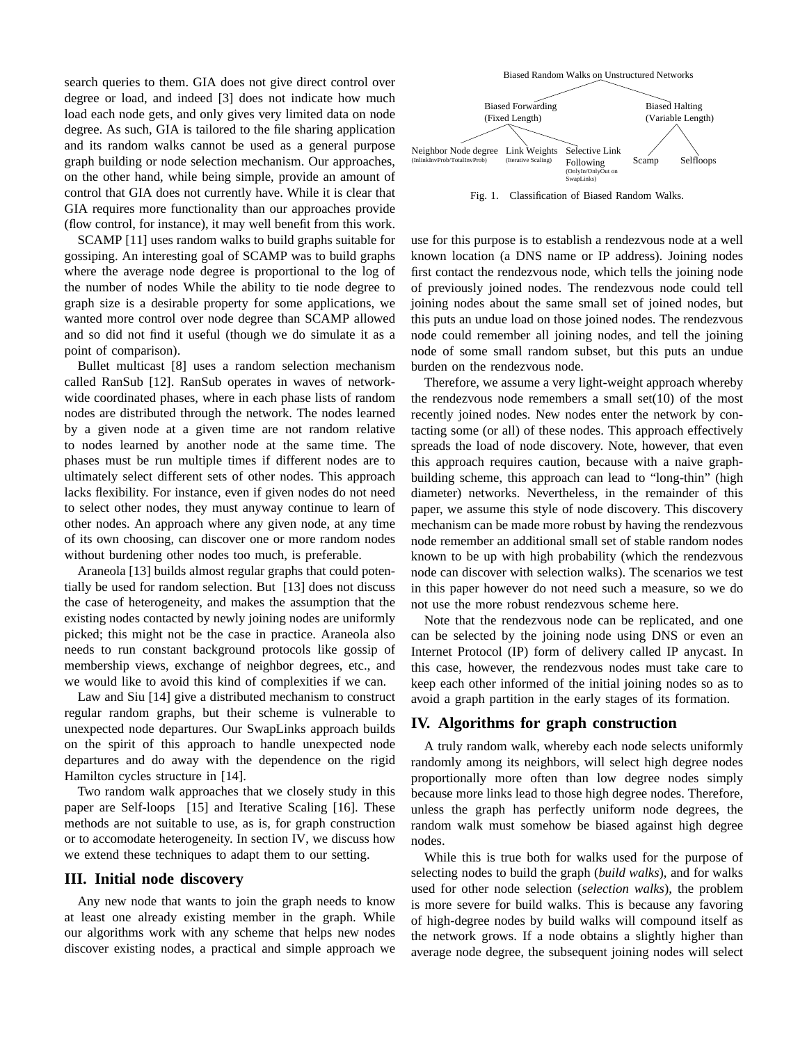search queries to them. GIA does not give direct control over degree or load, and indeed [3] does not indicate how much load each node gets, and only gives very limited data on node degree. As such, GIA is tailored to the file sharing application and its random walks cannot be used as a general purpose graph building or node selection mechanism. Our approaches, on the other hand, while being simple, provide an amount of control that GIA does not currently have. While it is clear that GIA requires more functionality than our approaches provide (flow control, for instance), it may well benefit from this work.

SCAMP [11] uses random walks to build graphs suitable for gossiping. An interesting goal of SCAMP was to build graphs where the average node degree is proportional to the log of the number of nodes While the ability to tie node degree to graph size is a desirable property for some applications, we wanted more control over node degree than SCAMP allowed and so did not find it useful (though we do simulate it as a point of comparison).

Bullet multicast [8] uses a random selection mechanism called RanSub [12]. RanSub operates in waves of networkwide coordinated phases, where in each phase lists of random nodes are distributed through the network. The nodes learned by a given node at a given time are not random relative to nodes learned by another node at the same time. The phases must be run multiple times if different nodes are to ultimately select different sets of other nodes. This approach lacks flexibility. For instance, even if given nodes do not need to select other nodes, they must anyway continue to learn of other nodes. An approach where any given node, at any time of its own choosing, can discover one or more random nodes without burdening other nodes too much, is preferable.

Araneola [13] builds almost regular graphs that could potentially be used for random selection. But [13] does not discuss the case of heterogeneity, and makes the assumption that the existing nodes contacted by newly joining nodes are uniformly picked; this might not be the case in practice. Araneola also needs to run constant background protocols like gossip of membership views, exchange of neighbor degrees, etc., and we would like to avoid this kind of complexities if we can.

Law and Siu [14] give a distributed mechanism to construct regular random graphs, but their scheme is vulnerable to unexpected node departures. Our SwapLinks approach builds on the spirit of this approach to handle unexpected node departures and do away with the dependence on the rigid Hamilton cycles structure in [14].

Two random walk approaches that we closely study in this paper are Self-loops [15] and Iterative Scaling [16]. These methods are not suitable to use, as is, for graph construction or to accomodate heterogeneity. In section IV, we discuss how we extend these techniques to adapt them to our setting.

### **III. Initial node discovery**

Any new node that wants to join the graph needs to know at least one already existing member in the graph. While our algorithms work with any scheme that helps new nodes discover existing nodes, a practical and simple approach we



Fig. 1. Classification of Biased Random Walks.

use for this purpose is to establish a rendezvous node at a well known location (a DNS name or IP address). Joining nodes first contact the rendezvous node, which tells the joining node of previously joined nodes. The rendezvous node could tell joining nodes about the same small set of joined nodes, but this puts an undue load on those joined nodes. The rendezvous node could remember all joining nodes, and tell the joining node of some small random subset, but this puts an undue burden on the rendezvous node.

Therefore, we assume a very light-weight approach whereby the rendezvous node remembers a small  $set(10)$  of the most recently joined nodes. New nodes enter the network by contacting some (or all) of these nodes. This approach effectively spreads the load of node discovery. Note, however, that even this approach requires caution, because with a naive graphbuilding scheme, this approach can lead to "long-thin" (high diameter) networks. Nevertheless, in the remainder of this paper, we assume this style of node discovery. This discovery mechanism can be made more robust by having the rendezvous node remember an additional small set of stable random nodes known to be up with high probability (which the rendezvous node can discover with selection walks). The scenarios we test in this paper however do not need such a measure, so we do not use the more robust rendezvous scheme here.

Note that the rendezvous node can be replicated, and one can be selected by the joining node using DNS or even an Internet Protocol (IP) form of delivery called IP anycast. In this case, however, the rendezvous nodes must take care to keep each other informed of the initial joining nodes so as to avoid a graph partition in the early stages of its formation.

# **IV. Algorithms for graph construction**

A truly random walk, whereby each node selects uniformly randomly among its neighbors, will select high degree nodes proportionally more often than low degree nodes simply because more links lead to those high degree nodes. Therefore, unless the graph has perfectly uniform node degrees, the random walk must somehow be biased against high degree nodes.

While this is true both for walks used for the purpose of selecting nodes to build the graph (*build walks*), and for walks used for other node selection (*selection walks*), the problem is more severe for build walks. This is because any favoring of high-degree nodes by build walks will compound itself as the network grows. If a node obtains a slightly higher than average node degree, the subsequent joining nodes will select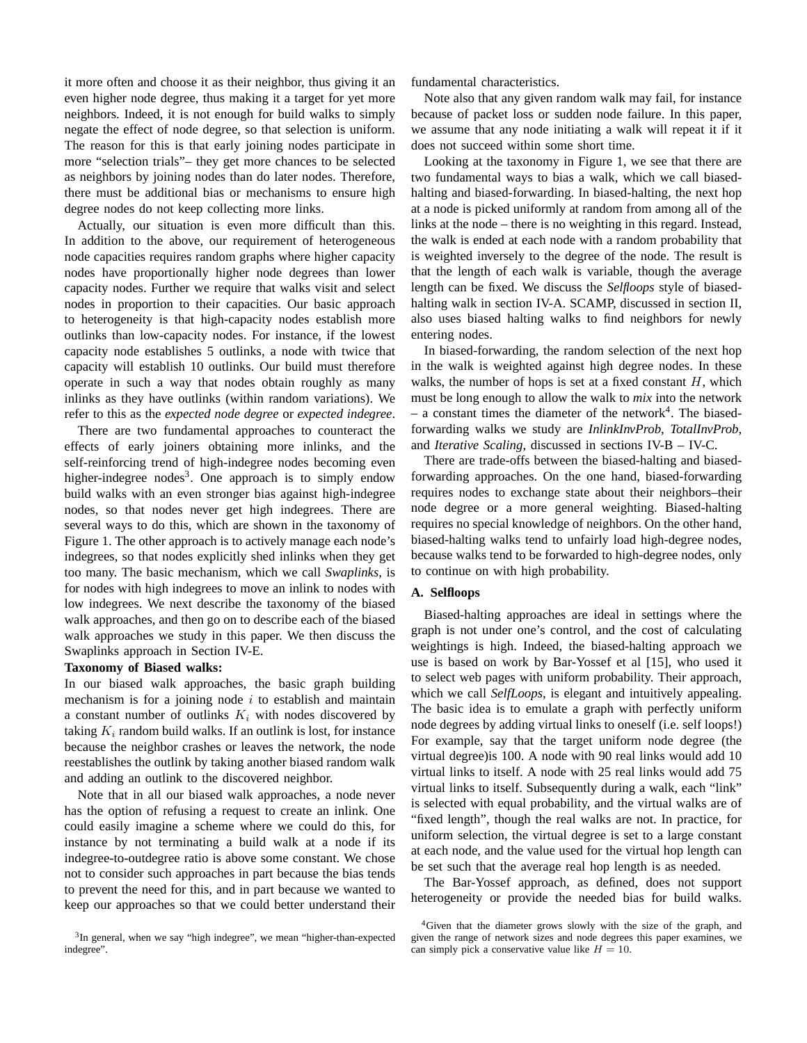it more often and choose it as their neighbor, thus giving it an even higher node degree, thus making it a target for yet more neighbors. Indeed, it is not enough for build walks to simply negate the effect of node degree, so that selection is uniform. The reason for this is that early joining nodes participate in more "selection trials"– they get more chances to be selected as neighbors by joining nodes than do later nodes. Therefore, there must be additional bias or mechanisms to ensure high degree nodes do not keep collecting more links.

Actually, our situation is even more difficult than this. In addition to the above, our requirement of heterogeneous node capacities requires random graphs where higher capacity nodes have proportionally higher node degrees than lower capacity nodes. Further we require that walks visit and select nodes in proportion to their capacities. Our basic approach to heterogeneity is that high-capacity nodes establish more outlinks than low-capacity nodes. For instance, if the lowest capacity node establishes 5 outlinks, a node with twice that capacity will establish 10 outlinks. Our build must therefore operate in such a way that nodes obtain roughly as many inlinks as they have outlinks (within random variations). We refer to this as the *expected node degree* or *expected indegree*.

There are two fundamental approaches to counteract the effects of early joiners obtaining more inlinks, and the self-reinforcing trend of high-indegree nodes becoming even higher-indegree nodes<sup>3</sup>. One approach is to simply endow build walks with an even stronger bias against high-indegree nodes, so that nodes never get high indegrees. There are several ways to do this, which are shown in the taxonomy of Figure 1. The other approach is to actively manage each node's indegrees, so that nodes explicitly shed inlinks when they get too many. The basic mechanism, which we call *Swaplinks*, is for nodes with high indegrees to move an inlink to nodes with low indegrees. We next describe the taxonomy of the biased walk approaches, and then go on to describe each of the biased walk approaches we study in this paper. We then discuss the Swaplinks approach in Section IV-E.

#### **Taxonomy of Biased walks:**

In our biased walk approaches, the basic graph building mechanism is for a joining node  $i$  to establish and maintain a constant number of outlinks  $K_i$  with nodes discovered by taking  $K_i$  random build walks. If an outlink is lost, for instance because the neighbor crashes or leaves the network, the node reestablishes the outlink by taking another biased random walk and adding an outlink to the discovered neighbor.

Note that in all our biased walk approaches, a node never has the option of refusing a request to create an inlink. One could easily imagine a scheme where we could do this, for instance by not terminating a build walk at a node if its indegree-to-outdegree ratio is above some constant. We chose not to consider such approaches in part because the bias tends to prevent the need for this, and in part because we wanted to keep our approaches so that we could better understand their fundamental characteristics.

Note also that any given random walk may fail, for instance because of packet loss or sudden node failure. In this paper, we assume that any node initiating a walk will repeat it if it does not succeed within some short time.

Looking at the taxonomy in Figure 1, we see that there are two fundamental ways to bias a walk, which we call biasedhalting and biased-forwarding. In biased-halting, the next hop at a node is picked uniformly at random from among all of the links at the node – there is no weighting in this regard. Instead, the walk is ended at each node with a random probability that is weighted inversely to the degree of the node. The result is that the length of each walk is variable, though the average length can be fixed. We discuss the *Selfloops* style of biasedhalting walk in section IV-A. SCAMP, discussed in section II, also uses biased halting walks to find neighbors for newly entering nodes.

In biased-forwarding, the random selection of the next hop in the walk is weighted against high degree nodes. In these walks, the number of hops is set at a fixed constant  $H$ , which must be long enough to allow the walk to *mix* into the network  $-$  a constant times the diameter of the network<sup>4</sup>. The biasedforwarding walks we study are *InlinkInvProb*, *TotalInvProb*, and *Iterative Scaling*, discussed in sections IV-B – IV-C.

There are trade-offs between the biased-halting and biasedforwarding approaches. On the one hand, biased-forwarding requires nodes to exchange state about their neighbors–their node degree or a more general weighting. Biased-halting requires no special knowledge of neighbors. On the other hand, biased-halting walks tend to unfairly load high-degree nodes, because walks tend to be forwarded to high-degree nodes, only to continue on with high probability.

# **A. Selfloops**

Biased-halting approaches are ideal in settings where the graph is not under one's control, and the cost of calculating weightings is high. Indeed, the biased-halting approach we use is based on work by Bar-Yossef et al [15], who used it to select web pages with uniform probability. Their approach, which we call *SelfLoops*, is elegant and intuitively appealing. The basic idea is to emulate a graph with perfectly uniform node degrees by adding virtual links to oneself (i.e. self loops!) For example, say that the target uniform node degree (the virtual degree)is 100. A node with 90 real links would add 10 virtual links to itself. A node with 25 real links would add 75 virtual links to itself. Subsequently during a walk, each "link" is selected with equal probability, and the virtual walks are of "fixed length", though the real walks are not. In practice, for uniform selection, the virtual degree is set to a large constant at each node, and the value used for the virtual hop length can be set such that the average real hop length is as needed.

The Bar-Yossef approach, as defined, does not support heterogeneity or provide the needed bias for build walks.

<sup>&</sup>lt;sup>3</sup>In general, when we say "high indegree", we mean "higher-than-expected indegree".

<sup>&</sup>lt;sup>4</sup>Given that the diameter grows slowly with the size of the graph, and given the range of network sizes and node degrees this paper examines, we can simply pick a conservative value like  $H = 10$ .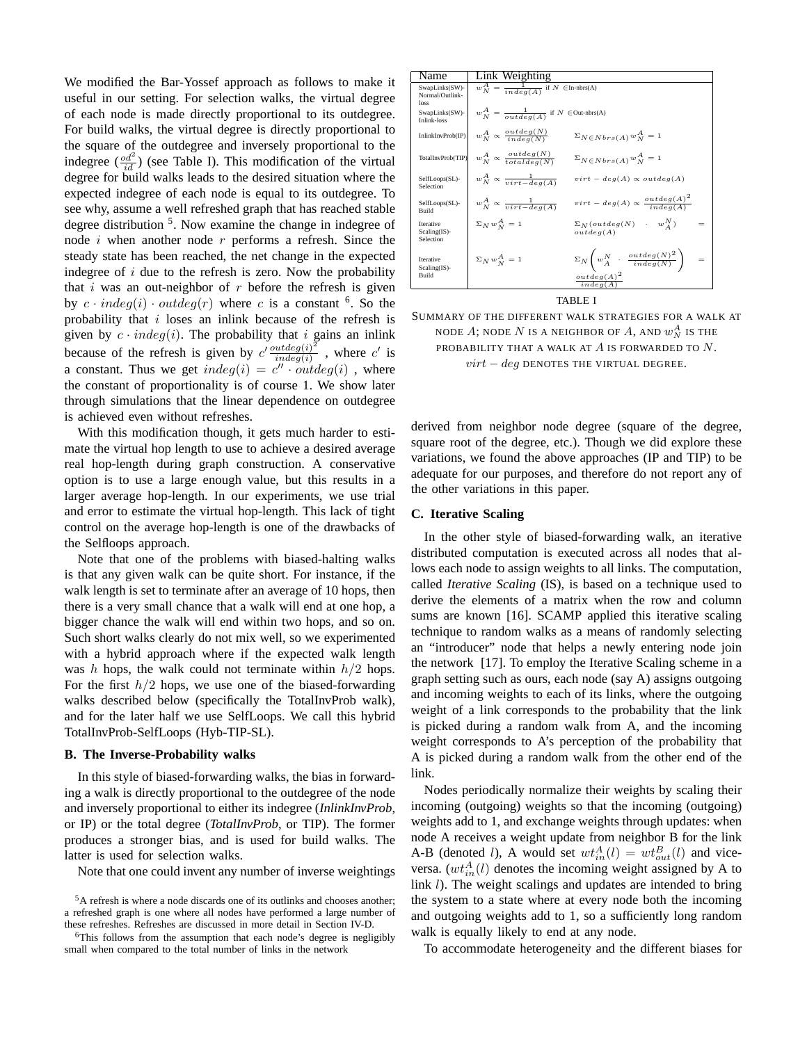We modified the Bar-Yossef approach as follows to make it useful in our setting. For selection walks, the virtual degree of each node is made directly proportional to its outdegree. For build walks, the virtual degree is directly proportional to the square of the outdegree and inversely proportional to the indegree  $\left(\frac{od^2}{id}\right)$  (see Table I). This modification of the virtual degree for build walks leads to the desired situation where the expected indegree of each node is equal to its outdegree. To see why, assume a well refreshed graph that has reached stable degree distribution <sup>5</sup>. Now examine the change in indegree of node  $i$  when another node  $r$  performs a refresh. Since the steady state has been reached, the net change in the expected indegree of  $i$  due to the refresh is zero. Now the probability that i was an out-neighbor of  $r$  before the refresh is given by  $c \cdot indeg(i) \cdot outdeg(r)$  where c is a constant <sup>6</sup>. So the probability that i loses an inlink because of the refresh is given by  $c \cdot indeg(i)$ . The probability that i gains an inlink because of the refresh is given by  $c' \frac{outdeg(i)^2}{indeg(i)}$  $\frac{utdeg(i)^2}{indeg(i)}$ , where c' is a constant. Thus we get  $indeg(i) = c'' \cdot outdeg(i)$ , where the constant of proportionality is of course 1. We show later through simulations that the linear dependence on outdegree is achieved even without refreshes.

With this modification though, it gets much harder to estimate the virtual hop length to use to achieve a desired average real hop-length during graph construction. A conservative option is to use a large enough value, but this results in a larger average hop-length. In our experiments, we use trial and error to estimate the virtual hop-length. This lack of tight control on the average hop-length is one of the drawbacks of the Selfloops approach.

Note that one of the problems with biased-halting walks is that any given walk can be quite short. For instance, if the walk length is set to terminate after an average of 10 hops, then there is a very small chance that a walk will end at one hop, a bigger chance the walk will end within two hops, and so on. Such short walks clearly do not mix well, so we experimented with a hybrid approach where if the expected walk length was h hops, the walk could not terminate within  $h/2$  hops. For the first  $h/2$  hops, we use one of the biased-forwarding walks described below (specifically the TotalInvProb walk), and for the later half we use SelfLoops. We call this hybrid TotalInvProb-SelfLoops (Hyb-TIP-SL).

#### **B. The Inverse-Probability walks**

In this style of biased-forwarding walks, the bias in forwarding a walk is directly proportional to the outdegree of the node and inversely proportional to either its indegree (*InlinkInvProb*, or IP) or the total degree (*TotalInvProb*, or TIP). The former produces a stronger bias, and is used for build walks. The latter is used for selection walks.

Note that one could invent any number of inverse weightings

| Link Weighting                                           |                                                                                                 |
|----------------------------------------------------------|-------------------------------------------------------------------------------------------------|
| $w_N^A = \frac{1}{indea(A)}$ if $N \in$ In-nbrs(A)       |                                                                                                 |
| $w_N^A = \frac{1}{outde\{a(A)\}}$ if $N \in$ Out-nbrs(A) |                                                                                                 |
| $w_N^A \propto \frac{outdeg(N)}{indeg(N)}$               | $\Sigma_{N \in Nbrs(A)} w^A_N = 1$                                                              |
| $w_N^A \propto \frac{outdeg(N)}{totaldeg(N)}$            | $\Sigma_{N\in Nbrs(A)} w^A_N = 1$                                                               |
| $w_N^A \propto \frac{1}{w_1^2 r^4 - \frac{de^2}{4}}$     | $virt - deg(A) \propto outdeg(A)$                                                               |
| $w_N^A \propto \frac{1}{virt-deq(A)}$                    | $virt = deg(A) \propto \frac{outdeg(A)^2}{inded(A)}$                                            |
| $\Sigma_N w^A_{N} = 1$                                   | $\Sigma_N(\text{outdeg}(N) \quad w_A^N)$<br>$=$<br>outdeg(A)                                    |
| $\Sigma_N w^A_{N} = 1$                                   | $\Sigma_N\left(w_A^N + \frac{outdeg(N)^2}{indeg(N)}\right)$<br>$=$<br>$outdeg(A)^2$<br>indeg(A) |
|                                                          |                                                                                                 |

TABLE I

SUMMARY OF THE DIFFERENT WALK STRATEGIES FOR A WALK AT NODE  $A$ ; node  $N$  is a neighbor of  $A,$  and  $w^A_N$  is the PROBABILITY THAT A WALK AT  $A$  IS FORWARDED TO  $N.$  $virt - deg$  DENOTES THE VIRTUAL DEGREE.

derived from neighbor node degree (square of the degree, square root of the degree, etc.). Though we did explore these variations, we found the above approaches (IP and TIP) to be adequate for our purposes, and therefore do not report any of the other variations in this paper.

### **C. Iterative Scaling**

In the other style of biased-forwarding walk, an iterative distributed computation is executed across all nodes that allows each node to assign weights to all links. The computation, called *Iterative Scaling* (IS), is based on a technique used to derive the elements of a matrix when the row and column sums are known [16]. SCAMP applied this iterative scaling technique to random walks as a means of randomly selecting an "introducer" node that helps a newly entering node join the network [17]. To employ the Iterative Scaling scheme in a graph setting such as ours, each node (say A) assigns outgoing and incoming weights to each of its links, where the outgoing weight of a link corresponds to the probability that the link is picked during a random walk from A, and the incoming weight corresponds to A's perception of the probability that A is picked during a random walk from the other end of the link.

Nodes periodically normalize their weights by scaling their incoming (outgoing) weights so that the incoming (outgoing) weights add to 1, and exchange weights through updates: when node A receives a weight update from neighbor B for the link A-B (denoted *l*), A would set  $wt_{in}^{A}(l) = wt_{out}^{B}(l)$  and viceversa.  $(wt_{in}^A(l)$  denotes the incoming weight assigned by A to link *l*). The weight scalings and updates are intended to bring the system to a state where at every node both the incoming and outgoing weights add to 1, so a sufficiently long random walk is equally likely to end at any node.

To accommodate heterogeneity and the different biases for

<sup>&</sup>lt;sup>5</sup>A refresh is where a node discards one of its outlinks and chooses another; a refreshed graph is one where all nodes have performed a large number of these refreshes. Refreshes are discussed in more detail in Section IV-D.

<sup>&</sup>lt;sup>6</sup>This follows from the assumption that each node's degree is negligibly small when compared to the total number of links in the network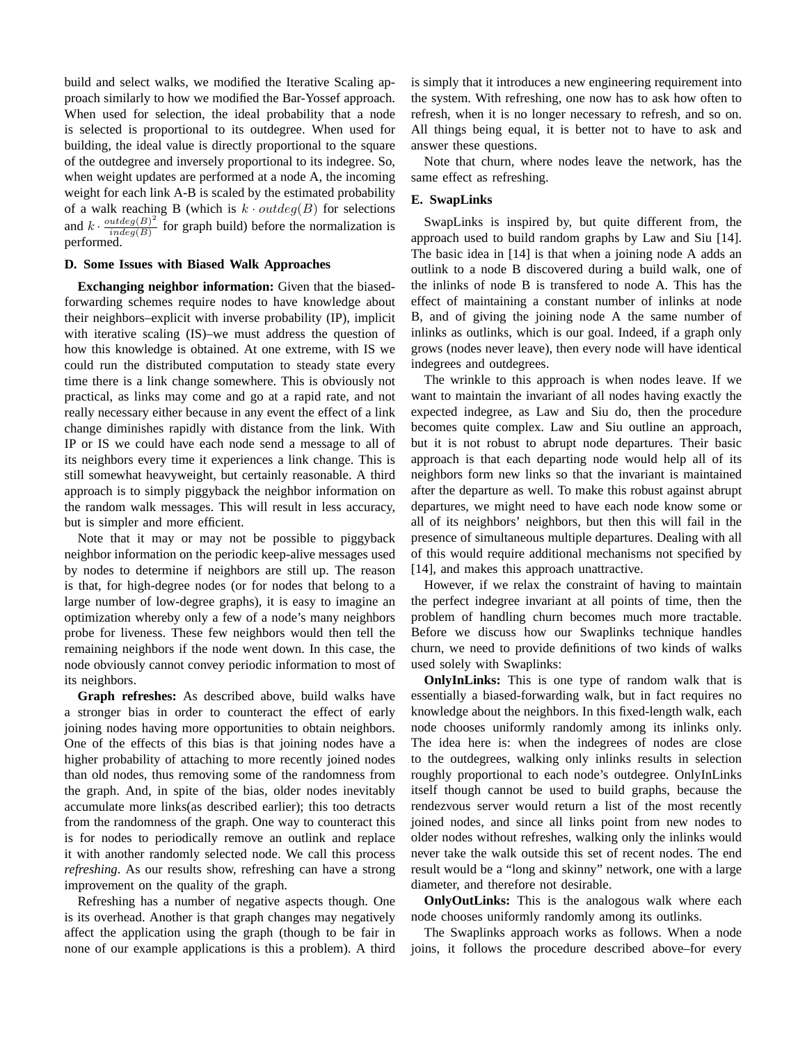build and select walks, we modified the Iterative Scaling approach similarly to how we modified the Bar-Yossef approach. When used for selection, the ideal probability that a node is selected is proportional to its outdegree. When used for building, the ideal value is directly proportional to the square of the outdegree and inversely proportional to its indegree. So, when weight updates are performed at a node A, the incoming weight for each link A-B is scaled by the estimated probability of a walk reaching B (which is  $k \cdot outdeg(B)$  for selections and  $k \cdot \frac{outdeg(B)^2}{indeg(B)}$  $\frac{utdeg(B)}{indeg(B)}$  for graph build) before the normalization is performed.

### **D. Some Issues with Biased Walk Approaches**

**Exchanging neighbor information:** Given that the biasedforwarding schemes require nodes to have knowledge about their neighbors–explicit with inverse probability (IP), implicit with iterative scaling (IS)–we must address the question of how this knowledge is obtained. At one extreme, with IS we could run the distributed computation to steady state every time there is a link change somewhere. This is obviously not practical, as links may come and go at a rapid rate, and not really necessary either because in any event the effect of a link change diminishes rapidly with distance from the link. With IP or IS we could have each node send a message to all of its neighbors every time it experiences a link change. This is still somewhat heavyweight, but certainly reasonable. A third approach is to simply piggyback the neighbor information on the random walk messages. This will result in less accuracy, but is simpler and more efficient.

Note that it may or may not be possible to piggyback neighbor information on the periodic keep-alive messages used by nodes to determine if neighbors are still up. The reason is that, for high-degree nodes (or for nodes that belong to a large number of low-degree graphs), it is easy to imagine an optimization whereby only a few of a node's many neighbors probe for liveness. These few neighbors would then tell the remaining neighbors if the node went down. In this case, the node obviously cannot convey periodic information to most of its neighbors.

**Graph refreshes:** As described above, build walks have a stronger bias in order to counteract the effect of early joining nodes having more opportunities to obtain neighbors. One of the effects of this bias is that joining nodes have a higher probability of attaching to more recently joined nodes than old nodes, thus removing some of the randomness from the graph. And, in spite of the bias, older nodes inevitably accumulate more links(as described earlier); this too detracts from the randomness of the graph. One way to counteract this is for nodes to periodically remove an outlink and replace it with another randomly selected node. We call this process *refreshing*. As our results show, refreshing can have a strong improvement on the quality of the graph.

Refreshing has a number of negative aspects though. One is its overhead. Another is that graph changes may negatively affect the application using the graph (though to be fair in none of our example applications is this a problem). A third is simply that it introduces a new engineering requirement into the system. With refreshing, one now has to ask how often to refresh, when it is no longer necessary to refresh, and so on. All things being equal, it is better not to have to ask and answer these questions.

Note that churn, where nodes leave the network, has the same effect as refreshing.

#### **E. SwapLinks**

SwapLinks is inspired by, but quite different from, the approach used to build random graphs by Law and Siu [14]. The basic idea in [14] is that when a joining node A adds an outlink to a node B discovered during a build walk, one of the inlinks of node B is transfered to node A. This has the effect of maintaining a constant number of inlinks at node B, and of giving the joining node A the same number of inlinks as outlinks, which is our goal. Indeed, if a graph only grows (nodes never leave), then every node will have identical indegrees and outdegrees.

The wrinkle to this approach is when nodes leave. If we want to maintain the invariant of all nodes having exactly the expected indegree, as Law and Siu do, then the procedure becomes quite complex. Law and Siu outline an approach, but it is not robust to abrupt node departures. Their basic approach is that each departing node would help all of its neighbors form new links so that the invariant is maintained after the departure as well. To make this robust against abrupt departures, we might need to have each node know some or all of its neighbors' neighbors, but then this will fail in the presence of simultaneous multiple departures. Dealing with all of this would require additional mechanisms not specified by [14], and makes this approach unattractive.

However, if we relax the constraint of having to maintain the perfect indegree invariant at all points of time, then the problem of handling churn becomes much more tractable. Before we discuss how our Swaplinks technique handles churn, we need to provide definitions of two kinds of walks used solely with Swaplinks:

**OnlyInLinks:** This is one type of random walk that is essentially a biased-forwarding walk, but in fact requires no knowledge about the neighbors. In this fixed-length walk, each node chooses uniformly randomly among its inlinks only. The idea here is: when the indegrees of nodes are close to the outdegrees, walking only inlinks results in selection roughly proportional to each node's outdegree. OnlyInLinks itself though cannot be used to build graphs, because the rendezvous server would return a list of the most recently joined nodes, and since all links point from new nodes to older nodes without refreshes, walking only the inlinks would never take the walk outside this set of recent nodes. The end result would be a "long and skinny" network, one with a large diameter, and therefore not desirable.

**OnlyOutLinks:** This is the analogous walk where each node chooses uniformly randomly among its outlinks.

The Swaplinks approach works as follows. When a node joins, it follows the procedure described above–for every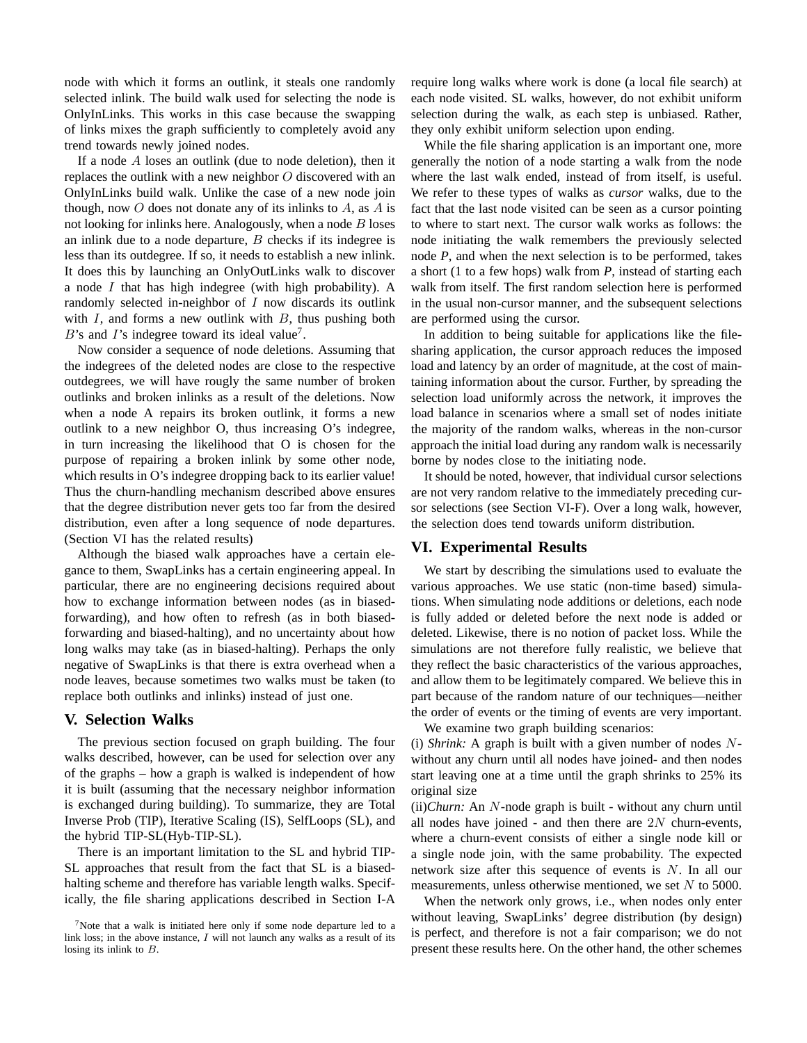node with which it forms an outlink, it steals one randomly selected inlink. The build walk used for selecting the node is OnlyInLinks. This works in this case because the swapping of links mixes the graph sufficiently to completely avoid any trend towards newly joined nodes.

If a node A loses an outlink (due to node deletion), then it replaces the outlink with a new neighbor O discovered with an OnlyInLinks build walk. Unlike the case of a new node join though, now  $O$  does not donate any of its inlinks to  $A$ , as  $A$  is not looking for inlinks here. Analogously, when a node  $B$  loses an inlink due to a node departure,  $B$  checks if its indegree is less than its outdegree. If so, it needs to establish a new inlink. It does this by launching an OnlyOutLinks walk to discover a node I that has high indegree (with high probability). A randomly selected in-neighbor of  $I$  now discards its outlink with  $I$ , and forms a new outlink with  $B$ , thus pushing both  $B$ 's and  $I$ 's indegree toward its ideal value<sup>7</sup>.

Now consider a sequence of node deletions. Assuming that the indegrees of the deleted nodes are close to the respective outdegrees, we will have rougly the same number of broken outlinks and broken inlinks as a result of the deletions. Now when a node A repairs its broken outlink, it forms a new outlink to a new neighbor O, thus increasing O's indegree, in turn increasing the likelihood that O is chosen for the purpose of repairing a broken inlink by some other node, which results in O's indegree dropping back to its earlier value! Thus the churn-handling mechanism described above ensures that the degree distribution never gets too far from the desired distribution, even after a long sequence of node departures. (Section VI has the related results)

Although the biased walk approaches have a certain elegance to them, SwapLinks has a certain engineering appeal. In particular, there are no engineering decisions required about how to exchange information between nodes (as in biasedforwarding), and how often to refresh (as in both biasedforwarding and biased-halting), and no uncertainty about how long walks may take (as in biased-halting). Perhaps the only negative of SwapLinks is that there is extra overhead when a node leaves, because sometimes two walks must be taken (to replace both outlinks and inlinks) instead of just one.

## **V. Selection Walks**

The previous section focused on graph building. The four walks described, however, can be used for selection over any of the graphs – how a graph is walked is independent of how it is built (assuming that the necessary neighbor information is exchanged during building). To summarize, they are Total Inverse Prob (TIP), Iterative Scaling (IS), SelfLoops (SL), and the hybrid TIP-SL(Hyb-TIP-SL).

There is an important limitation to the SL and hybrid TIP-SL approaches that result from the fact that SL is a biasedhalting scheme and therefore has variable length walks. Specifically, the file sharing applications described in Section I-A require long walks where work is done (a local file search) at each node visited. SL walks, however, do not exhibit uniform selection during the walk, as each step is unbiased. Rather, they only exhibit uniform selection upon ending.

While the file sharing application is an important one, more generally the notion of a node starting a walk from the node where the last walk ended, instead of from itself, is useful. We refer to these types of walks as *cursor* walks, due to the fact that the last node visited can be seen as a cursor pointing to where to start next. The cursor walk works as follows: the node initiating the walk remembers the previously selected node *P*, and when the next selection is to be performed, takes a short (1 to a few hops) walk from *P*, instead of starting each walk from itself. The first random selection here is performed in the usual non-cursor manner, and the subsequent selections are performed using the cursor.

In addition to being suitable for applications like the filesharing application, the cursor approach reduces the imposed load and latency by an order of magnitude, at the cost of maintaining information about the cursor. Further, by spreading the selection load uniformly across the network, it improves the load balance in scenarios where a small set of nodes initiate the majority of the random walks, whereas in the non-cursor approach the initial load during any random walk is necessarily borne by nodes close to the initiating node.

It should be noted, however, that individual cursor selections are not very random relative to the immediately preceding cursor selections (see Section VI-F). Over a long walk, however, the selection does tend towards uniform distribution.

# **VI. Experimental Results**

We start by describing the simulations used to evaluate the various approaches. We use static (non-time based) simulations. When simulating node additions or deletions, each node is fully added or deleted before the next node is added or deleted. Likewise, there is no notion of packet loss. While the simulations are not therefore fully realistic, we believe that they reflect the basic characteristics of the various approaches, and allow them to be legitimately compared. We believe this in part because of the random nature of our techniques—neither the order of events or the timing of events are very important. We examine two graph building scenarios:

(i) *Shrink:* A graph is built with a given number of nodes Nwithout any churn until all nodes have joined- and then nodes start leaving one at a time until the graph shrinks to 25% its original size

(ii)*Churn:* An N-node graph is built - without any churn until all nodes have joined - and then there are  $2N$  churn-events, where a churn-event consists of either a single node kill or a single node join, with the same probability. The expected network size after this sequence of events is N. In all our measurements, unless otherwise mentioned, we set  $N$  to 5000.

When the network only grows, i.e., when nodes only enter without leaving, SwapLinks' degree distribution (by design) is perfect, and therefore is not a fair comparison; we do not present these results here. On the other hand, the other schemes

 $7$ Note that a walk is initiated here only if some node departure led to a link loss; in the above instance,  $I$  will not launch any walks as a result of its losing its inlink to B.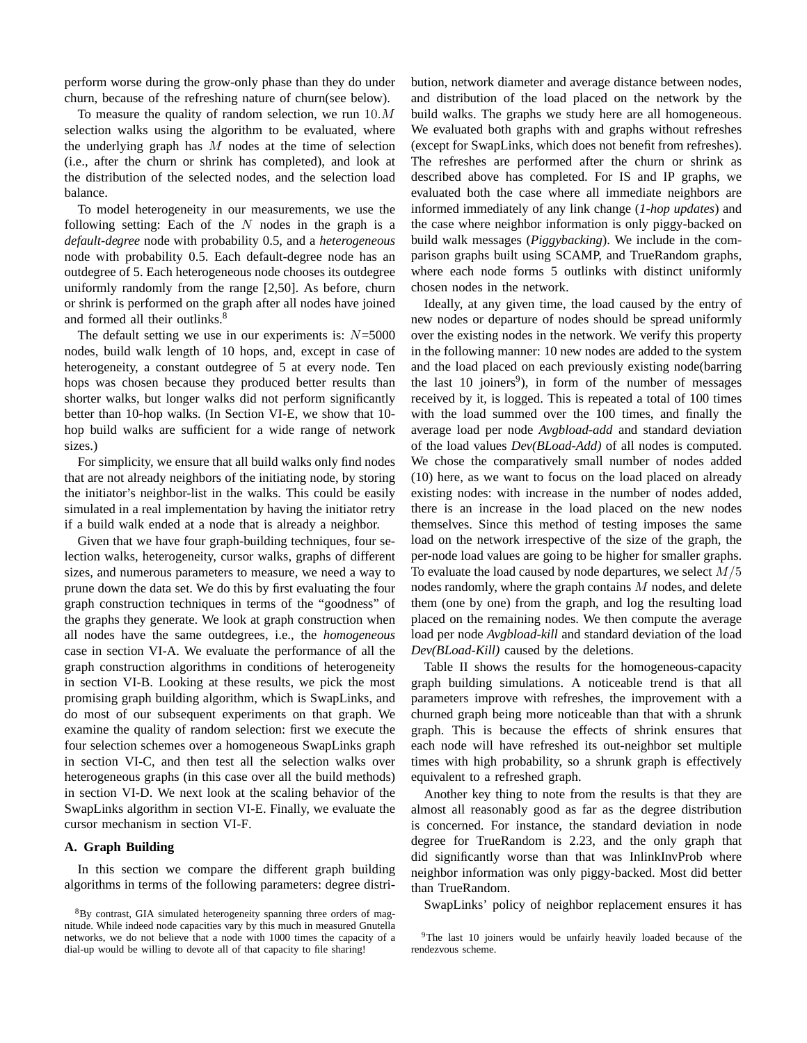perform worse during the grow-only phase than they do under churn, because of the refreshing nature of churn(see below).

To measure the quality of random selection, we run  $10.M$ selection walks using the algorithm to be evaluated, where the underlying graph has  $M$  nodes at the time of selection (i.e., after the churn or shrink has completed), and look at the distribution of the selected nodes, and the selection load balance.

To model heterogeneity in our measurements, we use the following setting: Each of the  $N$  nodes in the graph is a *default-degree* node with probability 0.5, and a *heterogeneous* node with probability 0.5. Each default-degree node has an outdegree of 5. Each heterogeneous node chooses its outdegree uniformly randomly from the range [2,50]. As before, churn or shrink is performed on the graph after all nodes have joined and formed all their outlinks.<sup>8</sup>

The default setting we use in our experiments is:  $N=5000$ nodes, build walk length of 10 hops, and, except in case of heterogeneity, a constant outdegree of 5 at every node. Ten hops was chosen because they produced better results than shorter walks, but longer walks did not perform significantly better than 10-hop walks. (In Section VI-E, we show that 10 hop build walks are sufficient for a wide range of network sizes.)

For simplicity, we ensure that all build walks only find nodes that are not already neighbors of the initiating node, by storing the initiator's neighbor-list in the walks. This could be easily simulated in a real implementation by having the initiator retry if a build walk ended at a node that is already a neighbor.

Given that we have four graph-building techniques, four selection walks, heterogeneity, cursor walks, graphs of different sizes, and numerous parameters to measure, we need a way to prune down the data set. We do this by first evaluating the four graph construction techniques in terms of the "goodness" of the graphs they generate. We look at graph construction when all nodes have the same outdegrees, i.e., the *homogeneous* case in section VI-A. We evaluate the performance of all the graph construction algorithms in conditions of heterogeneity in section VI-B. Looking at these results, we pick the most promising graph building algorithm, which is SwapLinks, and do most of our subsequent experiments on that graph. We examine the quality of random selection: first we execute the four selection schemes over a homogeneous SwapLinks graph in section VI-C, and then test all the selection walks over heterogeneous graphs (in this case over all the build methods) in section VI-D. We next look at the scaling behavior of the SwapLinks algorithm in section VI-E. Finally, we evaluate the cursor mechanism in section VI-F.

# **A. Graph Building**

In this section we compare the different graph building algorithms in terms of the following parameters: degree distribution, network diameter and average distance between nodes, and distribution of the load placed on the network by the build walks. The graphs we study here are all homogeneous. We evaluated both graphs with and graphs without refreshes (except for SwapLinks, which does not benefit from refreshes). The refreshes are performed after the churn or shrink as described above has completed. For IS and IP graphs, we evaluated both the case where all immediate neighbors are informed immediately of any link change (*1-hop updates*) and the case where neighbor information is only piggy-backed on build walk messages (*Piggybacking*). We include in the comparison graphs built using SCAMP, and TrueRandom graphs, where each node forms 5 outlinks with distinct uniformly chosen nodes in the network.

Ideally, at any given time, the load caused by the entry of new nodes or departure of nodes should be spread uniformly over the existing nodes in the network. We verify this property in the following manner: 10 new nodes are added to the system and the load placed on each previously existing node(barring the last 10 joiners<sup>9</sup>), in form of the number of messages received by it, is logged. This is repeated a total of 100 times with the load summed over the 100 times, and finally the average load per node *Avgbload-add* and standard deviation of the load values *Dev(BLoad-Add)* of all nodes is computed. We chose the comparatively small number of nodes added (10) here, as we want to focus on the load placed on already existing nodes: with increase in the number of nodes added, there is an increase in the load placed on the new nodes themselves. Since this method of testing imposes the same load on the network irrespective of the size of the graph, the per-node load values are going to be higher for smaller graphs. To evaluate the load caused by node departures, we select  $M/5$ nodes randomly, where the graph contains  $M$  nodes, and delete them (one by one) from the graph, and log the resulting load placed on the remaining nodes. We then compute the average load per node *Avgbload-kill* and standard deviation of the load *Dev(BLoad-Kill)* caused by the deletions.

Table II shows the results for the homogeneous-capacity graph building simulations. A noticeable trend is that all parameters improve with refreshes, the improvement with a churned graph being more noticeable than that with a shrunk graph. This is because the effects of shrink ensures that each node will have refreshed its out-neighbor set multiple times with high probability, so a shrunk graph is effectively equivalent to a refreshed graph.

Another key thing to note from the results is that they are almost all reasonably good as far as the degree distribution is concerned. For instance, the standard deviation in node degree for TrueRandom is 2.23, and the only graph that did significantly worse than that was InlinkInvProb where neighbor information was only piggy-backed. Most did better than TrueRandom.

SwapLinks' policy of neighbor replacement ensures it has

<sup>&</sup>lt;sup>8</sup>By contrast, GIA simulated heterogeneity spanning three orders of magnitude. While indeed node capacities vary by this much in measured Gnutella networks, we do not believe that a node with 1000 times the capacity of a dial-up would be willing to devote all of that capacity to file sharing!

<sup>&</sup>lt;sup>9</sup>The last 10 joiners would be unfairly heavily loaded because of the rendezvous scheme.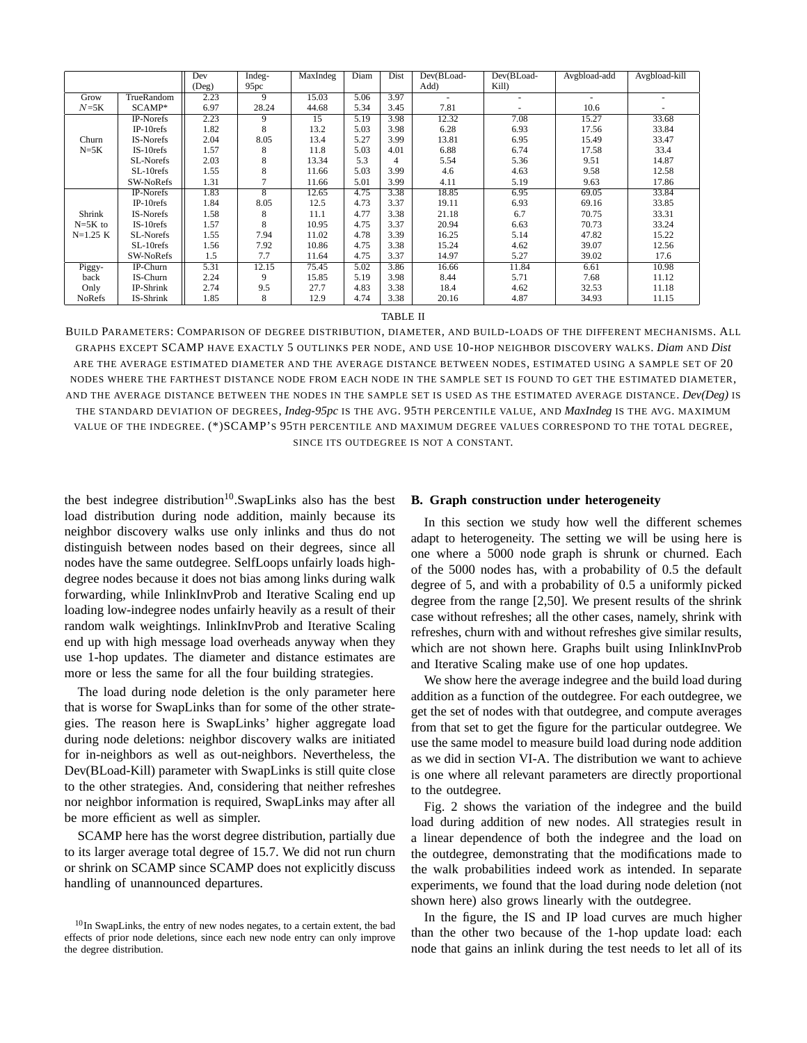|               |              | Dev         | Indeg- | MaxIndeg | Diam | Dist | Dev(BLoad- | Dev(BLoad- | Avgbload-add   | Avgbload-kill            |
|---------------|--------------|-------------|--------|----------|------|------|------------|------------|----------------|--------------------------|
|               |              | $($ Deg $)$ | 95pc   |          |      |      | Add)       | Kill)      |                |                          |
| Grow          | TrueRandom   | 2.23        | 9      | 15.03    | 5.06 | 3.97 | ٠          |            | $\overline{a}$ |                          |
| $N = 5K$      | SCAMP*       | 6.97        | 28.24  | 44.68    | 5.34 | 3.45 | 7.81       | ٠          | 10.6           | $\overline{\phantom{a}}$ |
|               | IP-Norefs    | 2.23        | 9      | 15       | 5.19 | 3.98 | 12.32      | 7.08       | 15.27          | 33.68                    |
|               | $IP-10$ refs | 1.82        | 8      | 13.2     | 5.03 | 3.98 | 6.28       | 6.93       | 17.56          | 33.84                    |
| Churn         | IS-Norefs    | 2.04        | 8.05   | 13.4     | 5.27 | 3.99 | 13.81      | 6.95       | 15.49          | 33.47                    |
| $N=5K$        | $IS-10refs$  | 1.57        | 8      | 11.8     | 5.03 | 4.01 | 6.88       | 6.74       | 17.58          | 33.4                     |
|               | SL-Norefs    | 2.03        | 8      | 13.34    | 5.3  | 4    | 5.54       | 5.36       | 9.51           | 14.87                    |
|               | SL-10refs    | 1.55        | 8      | 11.66    | 5.03 | 3.99 | 4.6        | 4.63       | 9.58           | 12.58                    |
|               | SW-NoRefs    | 1.31        |        | 11.66    | 5.01 | 3.99 | 4.11       | 5.19       | 9.63           | 17.86                    |
|               | IP-Norefs    | 1.83        | 8      | 12.65    | 4.75 | 3.38 | 18.85      | 6.95       | 69.05          | 33.84                    |
|               | $IP-10$ refs | 1.84        | 8.05   | 12.5     | 4.73 | 3.37 | 19.11      | 6.93       | 69.16          | 33.85                    |
| Shrink        | IS-Norefs    | 1.58        | 8      | 11.1     | 4.77 | 3.38 | 21.18      | 6.7        | 70.75          | 33.31                    |
| $N=5K$ to     | $IS-10refs$  | 1.57        | 8      | 10.95    | 4.75 | 3.37 | 20.94      | 6.63       | 70.73          | 33.24                    |
| $N=1.25 K$    | SL-Norefs    | 1.55        | 7.94   | 11.02    | 4.78 | 3.39 | 16.25      | 5.14       | 47.82          | 15.22                    |
|               | SL-10refs    | 1.56        | 7.92   | 10.86    | 4.75 | 3.38 | 15.24      | 4.62       | 39.07          | 12.56                    |
|               | SW-NoRefs    | 1.5         | 7.7    | 11.64    | 4.75 | 3.37 | 14.97      | 5.27       | 39.02          | 17.6                     |
| Piggy-        | IP-Churn     | 5.31        | 12.15  | 75.45    | 5.02 | 3.86 | 16.66      | 11.84      | 6.61           | 10.98                    |
| back          | IS-Churn     | 2.24        | 9      | 15.85    | 5.19 | 3.98 | 8.44       | 5.71       | 7.68           | 11.12                    |
| Only          | IP-Shrink    | 2.74        | 9.5    | 27.7     | 4.83 | 3.38 | 18.4       | 4.62       | 32.53          | 11.18                    |
| <b>NoRefs</b> | IS-Shrink    | 1.85        | 8      | 12.9     | 4.74 | 3.38 | 20.16      | 4.87       | 34.93          | 11.15                    |

TABLE II

BUILD PARAMETERS: COMPARISON OF DEGREE DISTRIBUTION, DIAMETER, AND BUILD-LOADS OF THE DIFFERENT MECHANISMS. ALL GRAPHS EXCEPT SCAMP HAVE EXACTLY 5 OUTLINKS PER NODE, AND USE 10-HOP NEIGHBOR DISCOVERY WALKS. *Diam* AND *Dist* ARE THE AVERAGE ESTIMATED DIAMETER AND THE AVERAGE DISTANCE BETWEEN NODES, ESTIMATED USING A SAMPLE SET OF 20 NODES WHERE THE FARTHEST DISTANCE NODE FROM EACH NODE IN THE SAMPLE SET IS FOUND TO GET THE ESTIMATED DIAMETER, AND THE AVERAGE DISTANCE BETWEEN THE NODES IN THE SAMPLE SET IS USED AS THE ESTIMATED AVERAGE DISTANCE. *Dev(Deg)* IS THE STANDARD DEVIATION OF DEGREES, *Indeg-95pc* IS THE AVG. 95TH PERCENTILE VALUE, AND *MaxIndeg* IS THE AVG. MAXIMUM VALUE OF THE INDEGREE. (\*)SCAMP'S 95TH PERCENTILE AND MAXIMUM DEGREE VALUES CORRESPOND TO THE TOTAL DEGREE, SINCE ITS OUTDEGREE IS NOT A CONSTANT.

the best indegree distribution<sup>10</sup>.SwapLinks also has the best load distribution during node addition, mainly because its neighbor discovery walks use only inlinks and thus do not distinguish between nodes based on their degrees, since all nodes have the same outdegree. SelfLoops unfairly loads highdegree nodes because it does not bias among links during walk forwarding, while InlinkInvProb and Iterative Scaling end up loading low-indegree nodes unfairly heavily as a result of their random walk weightings. InlinkInvProb and Iterative Scaling end up with high message load overheads anyway when they use 1-hop updates. The diameter and distance estimates are more or less the same for all the four building strategies.

The load during node deletion is the only parameter here that is worse for SwapLinks than for some of the other strategies. The reason here is SwapLinks' higher aggregate load during node deletions: neighbor discovery walks are initiated for in-neighbors as well as out-neighbors. Nevertheless, the Dev(BLoad-Kill) parameter with SwapLinks is still quite close to the other strategies. And, considering that neither refreshes nor neighbor information is required, SwapLinks may after all be more efficient as well as simpler.

SCAMP here has the worst degree distribution, partially due to its larger average total degree of 15.7. We did not run churn or shrink on SCAMP since SCAMP does not explicitly discuss handling of unannounced departures.

#### **B. Graph construction under heterogeneity**

In this section we study how well the different schemes adapt to heterogeneity. The setting we will be using here is one where a 5000 node graph is shrunk or churned. Each of the 5000 nodes has, with a probability of 0.5 the default degree of 5, and with a probability of 0.5 a uniformly picked degree from the range [2,50]. We present results of the shrink case without refreshes; all the other cases, namely, shrink with refreshes, churn with and without refreshes give similar results, which are not shown here. Graphs built using InlinkInvProb and Iterative Scaling make use of one hop updates.

We show here the average indegree and the build load during addition as a function of the outdegree. For each outdegree, we get the set of nodes with that outdegree, and compute averages from that set to get the figure for the particular outdegree. We use the same model to measure build load during node addition as we did in section VI-A. The distribution we want to achieve is one where all relevant parameters are directly proportional to the outdegree.

Fig. 2 shows the variation of the indegree and the build load during addition of new nodes. All strategies result in a linear dependence of both the indegree and the load on the outdegree, demonstrating that the modifications made to the walk probabilities indeed work as intended. In separate experiments, we found that the load during node deletion (not shown here) also grows linearly with the outdegree.

In the figure, the IS and IP load curves are much higher than the other two because of the 1-hop update load: each node that gains an inlink during the test needs to let all of its

 $10$ In SwapLinks, the entry of new nodes negates, to a certain extent, the bad effects of prior node deletions, since each new node entry can only improve the degree distribution.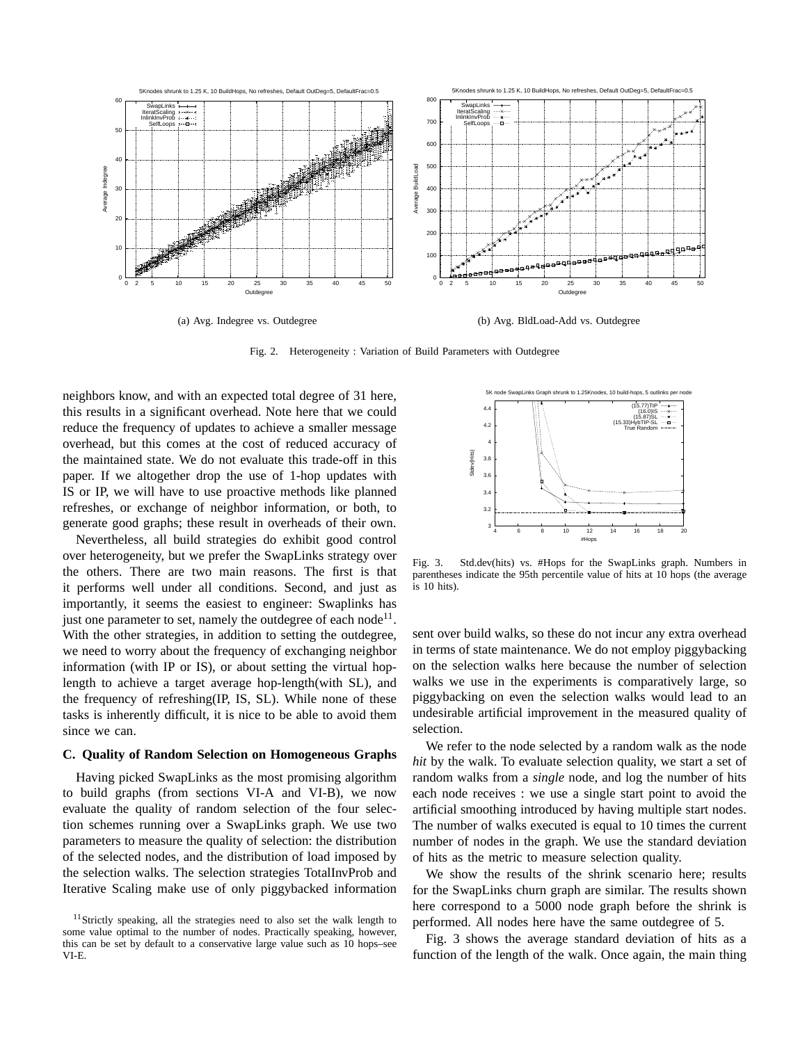

Fig. 2. Heterogeneity : Variation of Build Parameters with Outdegree

neighbors know, and with an expected total degree of 31 here, this results in a significant overhead. Note here that we could reduce the frequency of updates to achieve a smaller message overhead, but this comes at the cost of reduced accuracy of the maintained state. We do not evaluate this trade-off in this paper. If we altogether drop the use of 1-hop updates with IS or IP, we will have to use proactive methods like planned refreshes, or exchange of neighbor information, or both, to generate good graphs; these result in overheads of their own.

Nevertheless, all build strategies do exhibit good control over heterogeneity, but we prefer the SwapLinks strategy over the others. There are two main reasons. The first is that it performs well under all conditions. Second, and just as importantly, it seems the easiest to engineer: Swaplinks has just one parameter to set, namely the outdegree of each node $^{11}$ . With the other strategies, in addition to setting the outdegree, we need to worry about the frequency of exchanging neighbor information (with IP or IS), or about setting the virtual hoplength to achieve a target average hop-length(with SL), and the frequency of refreshing(IP, IS, SL). While none of these tasks is inherently difficult, it is nice to be able to avoid them since we can.

#### **C. Quality of Random Selection on Homogeneous Graphs**

Having picked SwapLinks as the most promising algorithm to build graphs (from sections VI-A and VI-B), we now evaluate the quality of random selection of the four selection schemes running over a SwapLinks graph. We use two parameters to measure the quality of selection: the distribution of the selected nodes, and the distribution of load imposed by the selection walks. The selection strategies TotalInvProb and Iterative Scaling make use of only piggybacked information



Fig. 3. Std.dev(hits) vs. #Hops for the SwapLinks graph. Numbers in parentheses indicate the 95th percentile value of hits at 10 hops (the average is 10 hits).

sent over build walks, so these do not incur any extra overhead in terms of state maintenance. We do not employ piggybacking on the selection walks here because the number of selection walks we use in the experiments is comparatively large, so piggybacking on even the selection walks would lead to an undesirable artificial improvement in the measured quality of selection.

We refer to the node selected by a random walk as the node *hit* by the walk. To evaluate selection quality, we start a set of random walks from a *single* node, and log the number of hits each node receives : we use a single start point to avoid the artificial smoothing introduced by having multiple start nodes. The number of walks executed is equal to 10 times the current number of nodes in the graph. We use the standard deviation of hits as the metric to measure selection quality.

We show the results of the shrink scenario here; results for the SwapLinks churn graph are similar. The results shown here correspond to a 5000 node graph before the shrink is performed. All nodes here have the same outdegree of 5.

Fig. 3 shows the average standard deviation of hits as a function of the length of the walk. Once again, the main thing

<sup>&</sup>lt;sup>11</sup>Strictly speaking, all the strategies need to also set the walk length to some value optimal to the number of nodes. Practically speaking, however, this can be set by default to a conservative large value such as 10 hops–see VI-E.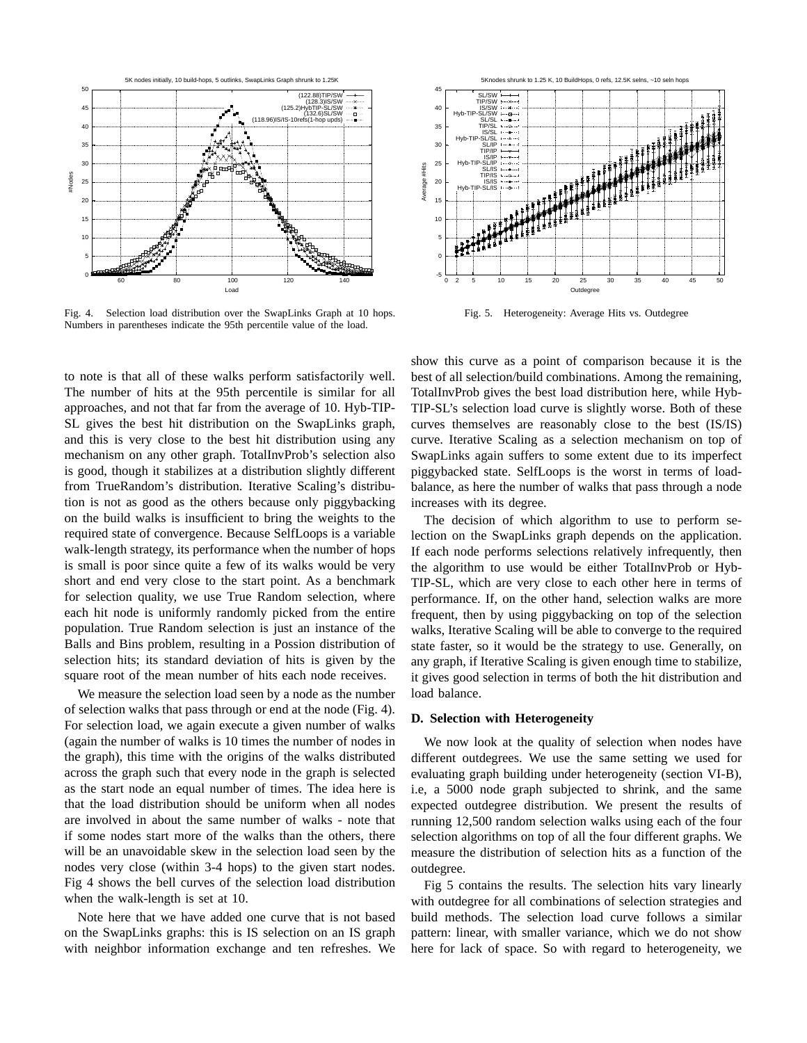

Fig. 4. Selection load distribution over the SwapLinks Graph at 10 hops. Numbers in parentheses indicate the 95th percentile value of the load.

des shrunk to 1.25 K, 10 BuildHops, 0 refs, 12.5K selns, ~10 seln hop 45 SL/SW TIP/SW IS/SW 40 Hyb-TIP-SL/SW SL/SL 35 TIP/SL IS/SL Hyb-TIP-SL/SL 30 SL/IP TIP/IP IS/IP 25 Hyb-TIP-SL/IP Average #Hits Average #Hits SL/IS TIP/IS 20 IS/IS Hyb-TIP-SL/IS <sub>15</sub> 10 5 0 -5 0 2 5 10 15 20 25 30 35 40 45 50 Outd

Fig. 5. Heterogeneity: Average Hits vs. Outdegree

to note is that all of these walks perform satisfactorily well. The number of hits at the 95th percentile is similar for all approaches, and not that far from the average of 10. Hyb-TIP-SL gives the best hit distribution on the SwapLinks graph, and this is very close to the best hit distribution using any mechanism on any other graph. TotalInvProb's selection also is good, though it stabilizes at a distribution slightly different from TrueRandom's distribution. Iterative Scaling's distribution is not as good as the others because only piggybacking on the build walks is insufficient to bring the weights to the required state of convergence. Because SelfLoops is a variable walk-length strategy, its performance when the number of hops is small is poor since quite a few of its walks would be very short and end very close to the start point. As a benchmark for selection quality, we use True Random selection, where each hit node is uniformly randomly picked from the entire population. True Random selection is just an instance of the Balls and Bins problem, resulting in a Possion distribution of selection hits; its standard deviation of hits is given by the square root of the mean number of hits each node receives.

We measure the selection load seen by a node as the number of selection walks that pass through or end at the node (Fig. 4). For selection load, we again execute a given number of walks (again the number of walks is 10 times the number of nodes in the graph), this time with the origins of the walks distributed across the graph such that every node in the graph is selected as the start node an equal number of times. The idea here is that the load distribution should be uniform when all nodes are involved in about the same number of walks - note that if some nodes start more of the walks than the others, there will be an unavoidable skew in the selection load seen by the nodes very close (within 3-4 hops) to the given start nodes. Fig 4 shows the bell curves of the selection load distribution when the walk-length is set at 10.

Note here that we have added one curve that is not based on the SwapLinks graphs: this is IS selection on an IS graph with neighbor information exchange and ten refreshes. We

show this curve as a point of comparison because it is the best of all selection/build combinations. Among the remaining, TotalInvProb gives the best load distribution here, while Hyb-TIP-SL's selection load curve is slightly worse. Both of these curves themselves are reasonably close to the best (IS/IS) curve. Iterative Scaling as a selection mechanism on top of SwapLinks again suffers to some extent due to its imperfect piggybacked state. SelfLoops is the worst in terms of loadbalance, as here the number of walks that pass through a node increases with its degree.

The decision of which algorithm to use to perform selection on the SwapLinks graph depends on the application. If each node performs selections relatively infrequently, then the algorithm to use would be either TotalInvProb or Hyb-TIP-SL, which are very close to each other here in terms of performance. If, on the other hand, selection walks are more frequent, then by using piggybacking on top of the selection walks, Iterative Scaling will be able to converge to the required state faster, so it would be the strategy to use. Generally, on any graph, if Iterative Scaling is given enough time to stabilize, it gives good selection in terms of both the hit distribution and load balance.

### **D. Selection with Heterogeneity**

We now look at the quality of selection when nodes have different outdegrees. We use the same setting we used for evaluating graph building under heterogeneity (section VI-B), i.e, a 5000 node graph subjected to shrink, and the same expected outdegree distribution. We present the results of running 12,500 random selection walks using each of the four selection algorithms on top of all the four different graphs. We measure the distribution of selection hits as a function of the outdegree.

Fig 5 contains the results. The selection hits vary linearly with outdegree for all combinations of selection strategies and build methods. The selection load curve follows a similar pattern: linear, with smaller variance, which we do not show here for lack of space. So with regard to heterogeneity, we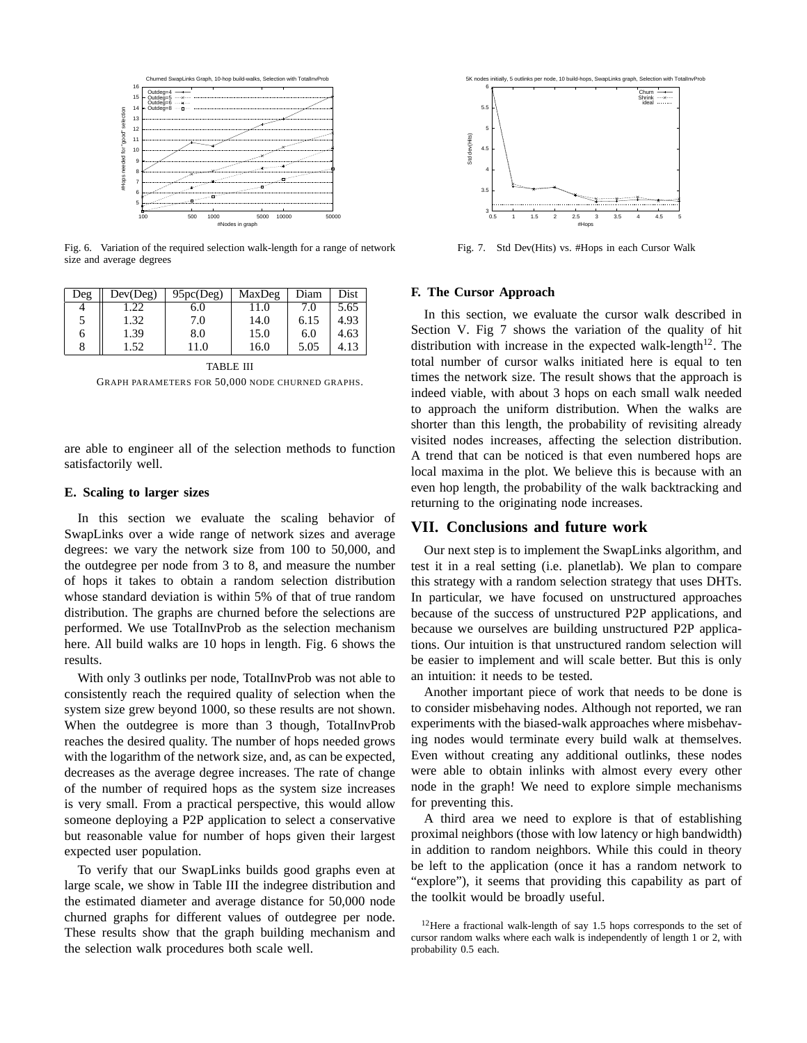

Fig. 6. Variation of the required selection walk-length for a range of network size and average degrees

| Deg       | Dev(Deg) | 95pc(Deg) | MaxDeg | Diam | Dist |  |  |  |
|-----------|----------|-----------|--------|------|------|--|--|--|
| 4         | 1.22     | 6.0       | 11.0   | 7.0  | 5.65 |  |  |  |
| 5         | 1.32     | 7.0       | 14.0   | 6.15 | 4.93 |  |  |  |
| 6         | 1.39     | 8.0       | 15.0   | 6.0  | 4.63 |  |  |  |
| 8         | 1.52     | 11.0      | 16.0   | 5.05 | 4.13 |  |  |  |
| TARLE III |          |           |        |      |      |  |  |  |

GRAPH PARAMETERS FOR 50,000 NODE CHURNED GRAPHS.

are able to engineer all of the selection methods to function satisfactorily well.

#### **E. Scaling to larger sizes**

In this section we evaluate the scaling behavior of SwapLinks over a wide range of network sizes and average degrees: we vary the network size from 100 to 50,000, and the outdegree per node from 3 to 8, and measure the number of hops it takes to obtain a random selection distribution whose standard deviation is within 5% of that of true random distribution. The graphs are churned before the selections are performed. We use TotalInvProb as the selection mechanism here. All build walks are 10 hops in length. Fig. 6 shows the results.

With only 3 outlinks per node, TotalInvProb was not able to consistently reach the required quality of selection when the system size grew beyond 1000, so these results are not shown. When the outdegree is more than 3 though, TotalInvProb reaches the desired quality. The number of hops needed grows with the logarithm of the network size, and, as can be expected, decreases as the average degree increases. The rate of change of the number of required hops as the system size increases is very small. From a practical perspective, this would allow someone deploying a P2P application to select a conservative but reasonable value for number of hops given their largest expected user population.

To verify that our SwapLinks builds good graphs even at large scale, we show in Table III the indegree distribution and the estimated diameter and average distance for 50,000 node churned graphs for different values of outdegree per node. These results show that the graph building mechanism and the selection walk procedures both scale well.



Fig. 7. Std Dev(Hits) vs. #Hops in each Cursor Walk

#### **F. The Cursor Approach**

In this section, we evaluate the cursor walk described in Section V. Fig 7 shows the variation of the quality of hit distribution with increase in the expected walk-length $12$ . The total number of cursor walks initiated here is equal to ten times the network size. The result shows that the approach is indeed viable, with about 3 hops on each small walk needed to approach the uniform distribution. When the walks are shorter than this length, the probability of revisiting already visited nodes increases, affecting the selection distribution. A trend that can be noticed is that even numbered hops are local maxima in the plot. We believe this is because with an even hop length, the probability of the walk backtracking and returning to the originating node increases.

# **VII. Conclusions and future work**

Our next step is to implement the SwapLinks algorithm, and test it in a real setting (i.e. planetlab). We plan to compare this strategy with a random selection strategy that uses DHTs. In particular, we have focused on unstructured approaches because of the success of unstructured P2P applications, and because we ourselves are building unstructured P2P applications. Our intuition is that unstructured random selection will be easier to implement and will scale better. But this is only an intuition: it needs to be tested.

Another important piece of work that needs to be done is to consider misbehaving nodes. Although not reported, we ran experiments with the biased-walk approaches where misbehaving nodes would terminate every build walk at themselves. Even without creating any additional outlinks, these nodes were able to obtain inlinks with almost every every other node in the graph! We need to explore simple mechanisms for preventing this.

A third area we need to explore is that of establishing proximal neighbors (those with low latency or high bandwidth) in addition to random neighbors. While this could in theory be left to the application (once it has a random network to "explore"), it seems that providing this capability as part of the toolkit would be broadly useful.

 $12$ Here a fractional walk-length of say 1.5 hops corresponds to the set of cursor random walks where each walk is independently of length 1 or 2, with probability 0.5 each.